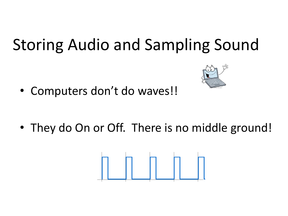# Storing Audio and Sampling Sound

• Computers don't do waves!!

• They do On or Off. There is no middle ground!

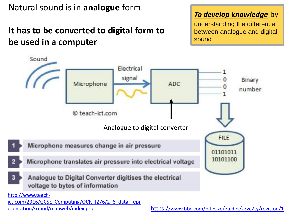Natural sound is in **analogue** form.

esentation/sound/miniweb/index.php

### **It has to be converted to digital form to be used in a computer**

*To develop knowledge* by understanding the difference between analogue and digital

sound



https://[www.bbc.com/bitesize/guides/z7vc7ty/revision/1](https://www.bbc.com/bitesize/guides/z7vc7ty/revision/1)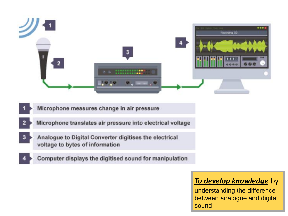

- Microphone measures change in air pressure
- Microphone translates air pressure into electrical voltage
- Analogue to Digital Converter digitises the electrical voltage to bytes of information
	- Computer displays the digitised sound for manipulation

#### *To develop knowledge* by

understanding the difference between analogue and digital sound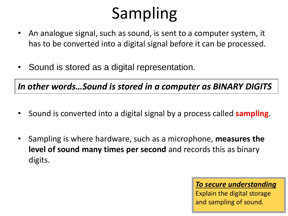# Sampling

- An analogue signal, such as sound, is sent to a computer system, it has to be converted into a digital signal before it can be processed.
- Sound is stored as a digital representation.

*In other words…Sound is stored in a computer as BINARY DIGITS*

- Sound is converted into a digital signal by a process called **sampling**.
- Sampling is where hardware, such as a microphone, **measures the level of sound many times per second** and records this as binary digits.

#### *To secure understanding*

Explain the digital storage and sampling of sound.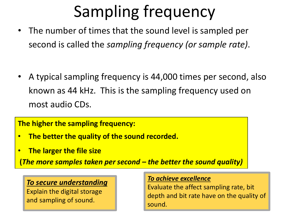# Sampling frequency

• The number of times that the sound level is sampled per second is called the *sampling frequency (or sample rate)*.

• A typical sampling frequency is 44,000 times per second, also known as 44 kHz. This is the sampling frequency used on most audio CDs.

**The higher the sampling frequency:**

- **The better the quality of the sound recorded.**
- **The larger the file size**

**(***The more samples taken per second – the better the sound quality)*

#### *To secure understanding*

Explain the digital storage and sampling of sound.

#### *To achieve excellence*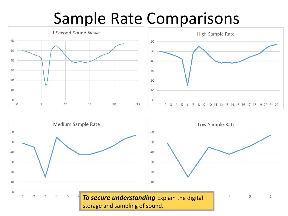## Sample Rate Comparisons





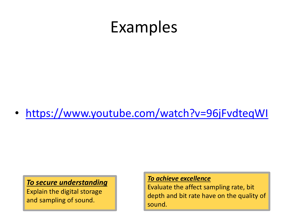## Examples

• <https://www.youtube.com/watch?v=96jFvdteqWI>

#### *To secure understanding*

Explain the digital storage and sampling of sound.

#### *To achieve excellence*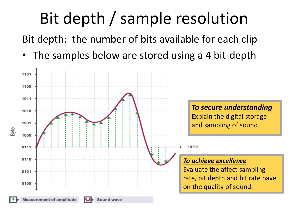# Bit depth / sample resolution

Bit depth: the number of bits available for each clip

The samples below are stored using a 4 bit-depth

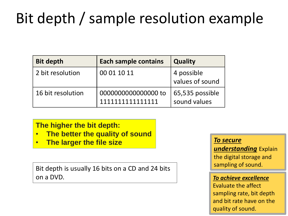## Bit depth / sample resolution example

| <b>Bit depth</b>  | <b>Each sample contains</b>             | <b>Quality</b>                  |
|-------------------|-----------------------------------------|---------------------------------|
| 2 bit resolution  | 00 01 10 11                             | 4 possible<br>values of sound   |
| 16 bit resolution | 0000000000000000 to<br>1111111111111111 | 65,535 possible<br>sound values |

#### **The higher the bit depth:**

- **The better the quality of sound**
- **The larger the file size**

Bit depth is usually 16 bits on a CD and 24 bits on a DVD.

#### *To secure*

*understanding* Explain the digital storage and sampling of sound.

#### *To achieve excellence*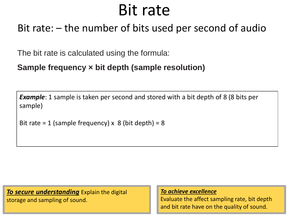## Bit rate

### Bit rate: – the number of bits used per second of audio

The bit rate is calculated using the formula:

**Sample frequency × bit depth (sample resolution)**

*Example*: 1 sample is taken per second and stored with a bit depth of 8 (8 bits per sample)

```
Bit rate = 1 (sample frequency) x 8 (bit depth) = 8
```
*To secure understanding* Explain the digital storage and sampling of sound.

*To achieve excellence*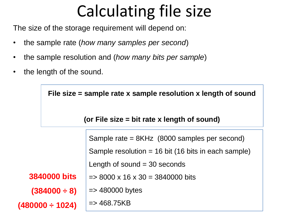# Calculating file size

The size of the storage requirement will depend on:

- the sample rate (*how many samples per second*)
- the sample resolution and (*how many bits per sample*)
- the length of the sound.

|                                               | File size $=$ sample rate x sample resolution x length of sound |                                                       |  |
|-----------------------------------------------|-----------------------------------------------------------------|-------------------------------------------------------|--|
| (or File size $=$ bit rate x length of sound) |                                                                 |                                                       |  |
|                                               |                                                                 | Sample rate = 8KHz (8000 samples per second)          |  |
|                                               |                                                                 | Sample resolution = $16$ bit (16 bits in each sample) |  |
|                                               |                                                                 | Length of sound $=$ 30 seconds                        |  |
|                                               | <b>3840000 bits</b>                                             | $\approx$ 8000 x 16 x 30 = 3840000 bits               |  |
|                                               | $(384000 \div 8)$                                               | $\Rightarrow$ 480000 bytes                            |  |
|                                               | $(480000 \div 1024)$                                            | $\Rightarrow$ 468.75KB                                |  |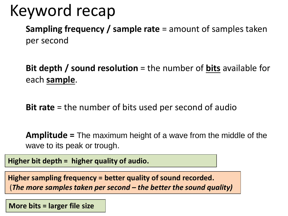## Keyword recap

**Sampling frequency / sample rate** = amount of samples taken per second

**Bit depth / sound resolution** = the number of **bits** available for each **sample**.

**Bit rate** = the number of bits used per second of audio

**Amplitude =** The maximum height of a wave from the middle of the wave to its peak or trough.

**Higher bit depth = higher quality of audio.** 

**Higher sampling frequency = better quality of sound recorded.**  (*The more samples taken per second – the better the sound quality)*

**More bits = larger file size**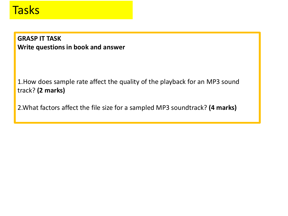### **Tasks**

**GRASP IT TASK Write questions in book and answer**

1.How does sample rate affect the quality of the playback for an MP3 sound track? **(2 marks)**

2.What factors affect the file size for a sampled MP3 soundtrack? **(4 marks)**